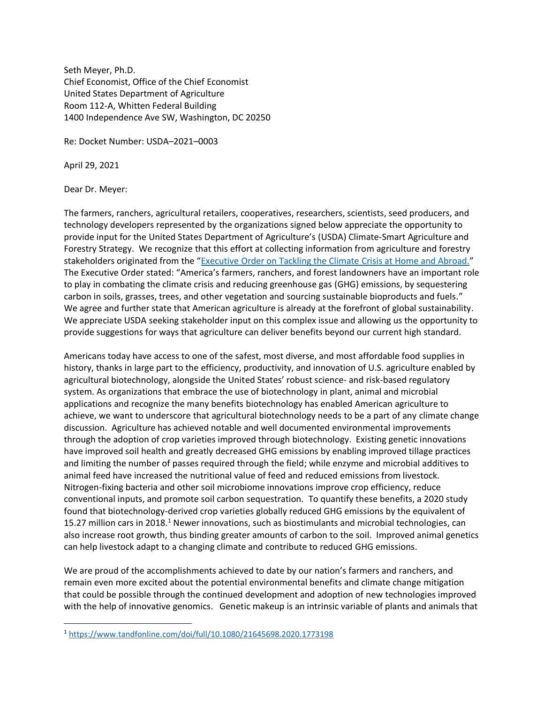Seth Meyer, Ph.D. Chief Economist, Office of the Chief Economist United States Department of Agriculture Room 112-A, Whitten Federal Building 1400 Independence Ave SW, Washington, DC 20250

Re: Docket Number: USDA–2021–0003

April 29, 2021

Dear Dr. Meyer:

The farmers, ranchers, agricultural retailers, cooperatives, researchers, scientists, seed producers, and technology developers represented by the organizations signed below appreciate the opportunity to provide input for the United States Department of Agriculture's (USDA) Climate-Smart Agriculture and Forestry Strategy. We recognize that this effort at collecting information from agriculture and forestry stakeholders originated from the "[Executive Order on Tackling the Climate](https://www.whitehouse.gov/briefing-room/presidential-actions/2021/01/27/executive-order-on-tackling-the-climate-crisis-at-home-and-abroad/) Crisis at Home and Abroad." The Executive Order stated: "America's farmers, ranchers, and forest landowners have an important role to play in combating the climate crisis and reducing greenhouse gas (GHG) emissions, by sequestering carbon in soils, grasses, trees, and other vegetation and sourcing sustainable bioproducts and fuels." We agree and further state that American agriculture is already at the forefront of global sustainability. We appreciate USDA seeking stakeholder input on this complex issue and allowing us the opportunity to provide suggestions for ways that agriculture can deliver benefits beyond our current high standard.

Americans today have access to one of the safest, most diverse, and most affordable food supplies in history, thanks in large part to the efficiency, productivity, and innovation of U.S. agriculture enabled by agricultural biotechnology, alongside the United States' robust science- and risk-based regulatory system. As organizations that embrace the use of biotechnology in plant, animal and microbial applications and recognize the many benefits biotechnology has enabled American agriculture to achieve, we want to underscore that agricultural biotechnology needs to be a part of any climate change discussion. Agriculture has achieved notable and well documented environmental improvements through the adoption of crop varieties improved through biotechnology. Existing genetic innovations have improved soil health and greatly decreased GHG emissions by enabling improved tillage practices and limiting the number of passes required through the field; while enzyme and microbial additives to animal feed have increased the nutritional value of feed and reduced emissions from livestock. Nitrogen-fixing bacteria and other soil microbiome innovations improve crop efficiency, reduce conventional inputs, and promote soil carbon sequestration. To quantify these benefits, a 2020 study found that biotechnology-derived crop varieties globally reduced GHG emissions by the equivalent of 15.27 million cars in 2018.<sup>1</sup> Newer innovations, such as biostimulants and microbial technologies, can also increase root growth, thus binding greater amounts of carbon to the soil. Improved animal genetics can help livestock adapt to a changing climate and contribute to reduced GHG emissions.

We are proud of the accomplishments achieved to date by our nation's farmers and ranchers, and remain even more excited about the potential environmental benefits and climate change mitigation that could be possible through the continued development and adoption of new technologies improved with the help of innovative genomics. Genetic makeup is an intrinsic variable of plants and animals that

<sup>1</sup> <https://www.tandfonline.com/doi/full/10.1080/21645698.2020.1773198>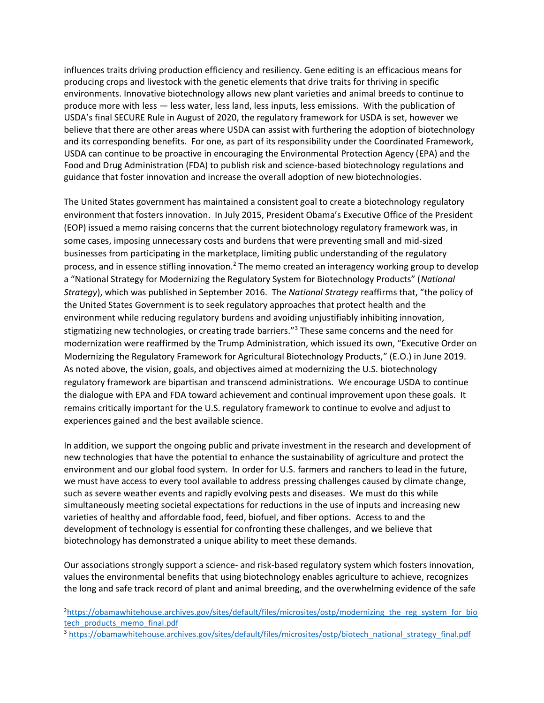influences traits driving production efficiency and resiliency. Gene editing is an efficacious means for producing crops and livestock with the genetic elements that drive traits for thriving in specific environments. Innovative biotechnology allows new plant varieties and animal breeds to continue to produce more with less — less water, less land, less inputs, less emissions. With the publication of USDA's final SECURE Rule in August of 2020, the regulatory framework for USDA is set, however we believe that there are other areas where USDA can assist with furthering the adoption of biotechnology and its corresponding benefits. For one, as part of its responsibility under the Coordinated Framework, USDA can continue to be proactive in encouraging the Environmental Protection Agency (EPA) and the Food and Drug Administration (FDA) to publish risk and science-based biotechnology regulations and guidance that foster innovation and increase the overall adoption of new biotechnologies.

The United States government has maintained a consistent goal to create a biotechnology regulatory environment that fosters innovation. In July 2015, President Obama's Executive Office of the President (EOP) issued a memo raising concerns that the current biotechnology regulatory framework was, in some cases, imposing unnecessary costs and burdens that were preventing small and mid-sized businesses from participating in the marketplace, limiting public understanding of the regulatory process, and in essence stifling innovation.<sup>2</sup> The memo created an interagency working group to develop a "National Strategy for Modernizing the Regulatory System for Biotechnology Products" (*National Strategy*), which was published in September 2016. The *National Strategy* reaffirms that, "the policy of the United States Government is to seek regulatory approaches that protect health and the environment while reducing regulatory burdens and avoiding unjustifiably inhibiting innovation, stigmatizing new technologies, or creating trade barriers."<sup>3</sup> These same concerns and the need for modernization were reaffirmed by the Trump Administration, which issued its own, "Executive Order on Modernizing the Regulatory Framework for Agricultural Biotechnology Products," (E.O.) in June 2019. As noted above, the vision, goals, and objectives aimed at modernizing the U.S. biotechnology regulatory framework are bipartisan and transcend administrations. We encourage USDA to continue the dialogue with EPA and FDA toward achievement and continual improvement upon these goals. It remains critically important for the U.S. regulatory framework to continue to evolve and adjust to experiences gained and the best available science.

In addition, we support the ongoing public and private investment in the research and development of new technologies that have the potential to enhance the sustainability of agriculture and protect the environment and our global food system. In order for U.S. farmers and ranchers to lead in the future, we must have access to every tool available to address pressing challenges caused by climate change, such as severe weather events and rapidly evolving pests and diseases. We must do this while simultaneously meeting societal expectations for reductions in the use of inputs and increasing new varieties of healthy and affordable food, feed, biofuel, and fiber options. Access to and the development of technology is essential for confronting these challenges, and we believe that biotechnology has demonstrated a unique ability to meet these demands.

Our associations strongly support a science- and risk-based regulatory system which fosters innovation, values the environmental benefits that using biotechnology enables agriculture to achieve, recognizes the long and safe track record of plant and animal breeding, and the overwhelming evidence of the safe

<sup>&</sup>lt;sup>2</sup>[https://obamawhitehouse.archives.gov/sites/default/files/microsites/ostp/modernizing\\_the\\_reg\\_system\\_for\\_bio](https://obamawhitehouse.archives.gov/sites/default/files/microsites/ostp/modernizing_the_reg_system_for_biotech_products_memo_final.pdf) tech products memo final.pdf

<sup>3</sup> [https://obamawhitehouse.archives.gov/sites/default/files/microsites/ostp/biotech\\_national\\_strategy\\_final.pdf](https://obamawhitehouse.archives.gov/sites/default/files/microsites/ostp/biotech_national_strategy_final.pdf)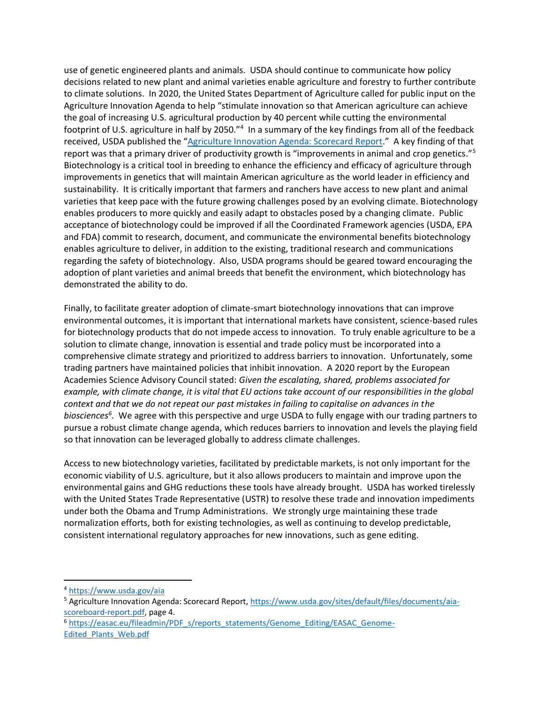use of genetic engineered plants and animals. USDA should continue to communicate how policy decisions related to new plant and animal varieties enable agriculture and forestry to further contribute to climate solutions. In 2020, the United States Department of Agriculture called for public input on the Agriculture Innovation Agenda to help "stimulate innovation so that American agriculture can achieve the goal of increasing U.S. agricultural production by 40 percent while cutting the environmental footprint of U.S. agriculture in half by 2050."<sup>4</sup> In a summary of the key findings from all of the feedback received, USDA published the "[Agriculture Innovation Agenda: Scorecard Report](https://www.usda.gov/sites/default/files/documents/aia-scoreboard-report.pdf)." A key finding of that report was that a primary driver of productivity growth is "improvements in animal and crop genetics."<sup>5</sup> Biotechnology is a critical tool in breeding to enhance the efficiency and efficacy of agriculture through improvements in genetics that will maintain American agriculture as the world leader in efficiency and sustainability. It is critically important that farmers and ranchers have access to new plant and animal varieties that keep pace with the future growing challenges posed by an evolving climate. Biotechnology enables producers to more quickly and easily adapt to obstacles posed by a changing climate. Public acceptance of biotechnology could be improved if all the Coordinated Framework agencies (USDA, EPA and FDA) commit to research, document, and communicate the environmental benefits biotechnology enables agriculture to deliver, in addition to the existing, traditional research and communications regarding the safety of biotechnology. Also, USDA programs should be geared toward encouraging the adoption of plant varieties and animal breeds that benefit the environment, which biotechnology has demonstrated the ability to do.

Finally, to facilitate greater adoption of climate-smart biotechnology innovations that can improve environmental outcomes, it is important that international markets have consistent, science-based rules for biotechnology products that do not impede access to innovation. To truly enable agriculture to be a solution to climate change, innovation is essential and trade policy must be incorporated into a comprehensive climate strategy and prioritized to address barriers to innovation. Unfortunately, some trading partners have maintained policies that inhibit innovation. A 2020 report by the European Academies Science Advisory Council stated: *Given the escalating, shared, problems associated for example, with climate change, it is vital that EU actions take account of our responsibilities in the global context and that we do not repeat our past mistakes in failing to capitalise on advances in the biosciences<sup>6</sup> .* We agree with this perspective and urge USDA to fully engage with our trading partners to pursue a robust climate change agenda, which reduces barriers to innovation and levels the playing field so that innovation can be leveraged globally to address climate challenges.

Access to new biotechnology varieties, facilitated by predictable markets, is not only important for the economic viability of U.S. agriculture, but it also allows producers to maintain and improve upon the environmental gains and GHG reductions these tools have already brought. USDA has worked tirelessly with the United States Trade Representative (USTR) to resolve these trade and innovation impediments under both the Obama and Trump Administrations. We strongly urge maintaining these trade normalization efforts, both for existing technologies, as well as continuing to develop predictable, consistent international regulatory approaches for new innovations, such as gene editing.

<sup>6</sup> https://easac.eu/fileadmin/PDF s/reports statements/Genome Editing/EASAC Genome-[Edited\\_Plants\\_Web.pdf](https://easac.eu/fileadmin/PDF_s/reports_statements/Genome_Editing/EASAC_Genome-Edited_Plants_Web.pdf)

<sup>4</sup> <https://www.usda.gov/aia>

<sup>5</sup> Agriculture Innovation Agenda: Scorecard Report, [https://www.usda.gov/sites/default/files/documents/aia](https://www.usda.gov/sites/default/files/documents/aia-scoreboard-report.pdf)[scoreboard-report.pdf,](https://www.usda.gov/sites/default/files/documents/aia-scoreboard-report.pdf) page 4.